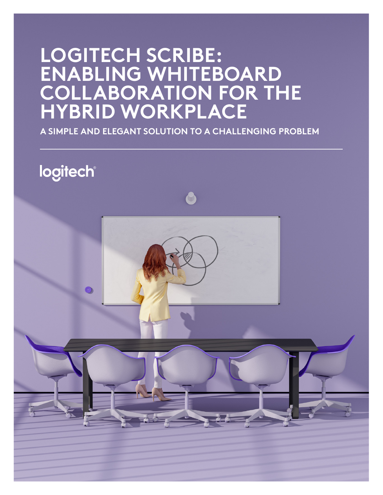# **LOGITECH SCRIBE: ENABLING WHITEBOARD COLLABORATION FOR THE HYBRID WORKPLACE**

**A SIMPLE AND ELEGANT SOLUTION TO A CHALLENGING PROBLEM**

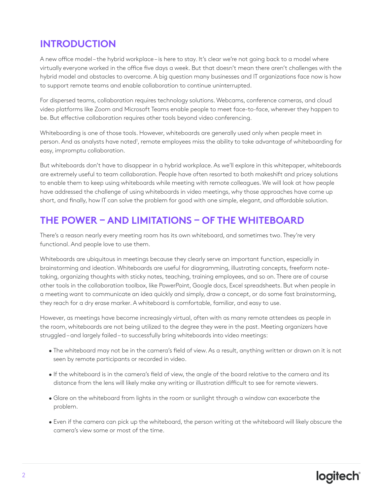## **INTRODUCTION**

A new office model – the hybrid workplace – is here to stay. It's clear we're not going back to a model where virtually everyone worked in the office five days a week. But that doesn't mean there aren't challenges with the hybrid model and obstacles to overcome. A big question many businesses and IT organizations face now is how to support remote teams and enable collaboration to continue uninterrupted.

For dispersed teams, collaboration requires technology solutions. Webcams, conference cameras, and cloud video platforms like Zoom and Microsoft Teams enable people to meet face-to-face, wherever they happen to be. But effective collaboration requires other tools beyond video conferencing.

Whiteboarding is one of those tools. However, whiteboards are generally used only when people meet in person. And as analysts have noted<sup>1</sup>, remote employees miss the ability to take advantage of whiteboarding for easy, impromptu collaboration.

But whiteboards don't have to disappear in a hybrid workplace. As we'll explore in this whitepaper, whiteboards are extremely useful to team collaboration. People have often resorted to both makeshift and pricey solutions to enable them to keep using whiteboards while meeting with remote colleagues. We will look at how people have addressed the challenge of using whiteboards in video meetings, why those approaches have come up short, and finally, how IT can solve the problem for good with one simple, elegant, and affordable solution.

## **THE POWER – AND LIMITATIONS – OF THE WHITEBOARD**

There's a reason nearly every meeting room has its own whiteboard, and sometimes two. They're very functional. And people love to use them.

Whiteboards are ubiquitous in meetings because they clearly serve an important function, especially in brainstorming and ideation. Whiteboards are useful for diagramming, illustrating concepts, freeform notetaking, organizing thoughts with sticky notes, teaching, training employees, and so on. There are of course other tools in the collaboration toolbox, like PowerPoint, Google docs, Excel spreadsheets. But when people in a meeting want to communicate an idea quickly and simply, draw a concept, or do some fast brainstorming, they reach for a dry erase marker. A whiteboard is comfortable, familiar, and easy to use.

However, as meetings have become increasingly virtual, often with as many remote attendees as people in the room, whiteboards are not being utilized to the degree they were in the past. Meeting organizers have struggled – and largely failed – to successfully bring whiteboards into video meetings:

- The whiteboard may not be in the camera's field of view. As a result, anything written or drawn on it is not seen by remote participants or recorded in video.
- If the whiteboard is in the camera's field of view, the angle of the board relative to the camera and its distance from the lens will likely make any writing or illustration difficult to see for remote viewers.
- Glare on the whiteboard from lights in the room or sunlight through a window can exacerbate the problem.
- Even if the camera can pick up the whiteboard, the person writing at the whiteboard will likely obscure the camera's view some or most of the time.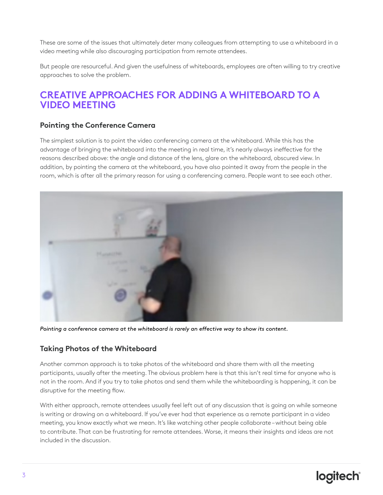These are some of the issues that ultimately deter many colleagues from attempting to use a whiteboard in a video meeting while also discouraging participation from remote attendees.

But people are resourceful. And given the usefulness of whiteboards, employees are often willing to try creative approaches to solve the problem.

### **CREATIVE APPROACHES FOR ADDING A WHITEBOARD TO A VIDEO MEETING**

#### **Pointing the Conference Camera**

The simplest solution is to point the video conferencing camera at the whiteboard. While this has the advantage of bringing the whiteboard into the meeting in real time, it's nearly always ineffective for the reasons described above: the angle and distance of the lens, glare on the whiteboard, obscured view. In addition, by pointing the camera at the whiteboard, you have also pointed it away from the people in the room, which is after all the primary reason for using a conferencing camera. People want to see each other.



*Pointing a conference camera at the whiteboard is rarely an effective way to show its content.*

#### **Taking Photos of the Whiteboard**

Another common approach is to take photos of the whiteboard and share them with all the meeting participants, usually after the meeting. The obvious problem here is that this isn't real time for anyone who is not in the room. And if you try to take photos and send them while the whiteboarding is happening, it can be disruptive for the meeting flow.

With either approach, remote attendees usually feel left out of any discussion that is going on while someone is writing or drawing on a whiteboard. If you've ever had that experience as a remote participant in a video meeting, you know exactly what we mean. It's like watching other people collaborate – without being able to contribute. That can be frustrating for remote attendees. Worse, it means their insights and ideas are not included in the discussion.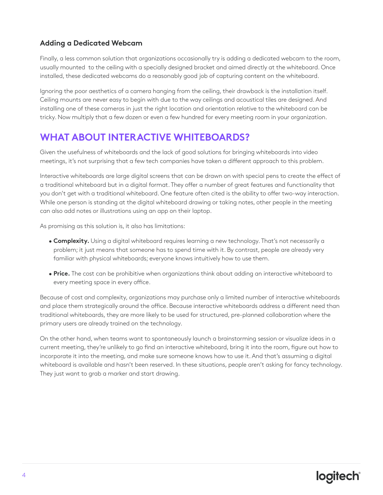#### **Adding a Dedicated Webcam**

Finally, a less common solution that organizations occasionally try is adding a dedicated webcam to the room, usually mounted to the ceiling with a specially designed bracket and aimed directly at the whiteboard. Once installed, these dedicated webcams do a reasonably good job of capturing content on the whiteboard.

Ignoring the poor aesthetics of a camera hanging from the ceiling, their drawback is the installation itself. Ceiling mounts are never easy to begin with due to the way ceilings and acoustical tiles are designed. And installing one of these cameras in just the right location and orientation relative to the whiteboard can be tricky. Now multiply that a few dozen or even a few hundred for every meeting room in your organization.

### **WHAT ABOUT INTERACTIVE WHITEBOARDS?**

Given the usefulness of whiteboards and the lack of good solutions for bringing whiteboards into video meetings, it's not surprising that a few tech companies have taken a different approach to this problem.

Interactive whiteboards are large digital screens that can be drawn on with special pens to create the effect of a traditional whiteboard but in a digital format. They offer a number of great features and functionality that you don't get with a traditional whiteboard. One feature often cited is the ability to offer two-way interaction. While one person is standing at the digital whiteboard drawing or taking notes, other people in the meeting can also add notes or illustrations using an app on their laptop.

As promising as this solution is, it also has limitations:

- **Complexity.** Using a digital whiteboard requires learning a new technology. That's not necessarily a problem; it just means that someone has to spend time with it. By contrast, people are already very familiar with physical whiteboards; everyone knows intuitively how to use them.
- **Price.** The cost can be prohibitive when organizations think about adding an interactive whiteboard to every meeting space in every office.

Because of cost and complexity, organizations may purchase only a limited number of interactive whiteboards and place them strategically around the office. Because interactive whiteboards address a different need than traditional whiteboards, they are more likely to be used for structured, pre-planned collaboration where the primary users are already trained on the technology.

On the other hand, when teams want to spontaneously launch a brainstorming session or visualize ideas in a current meeting, they're unlikely to go find an interactive whiteboard, bring it into the room, figure out how to incorporate it into the meeting, and make sure someone knows how to use it. And that's assuming a digital whiteboard is available and hasn't been reserved. In these situations, people aren't asking for fancy technology. They just want to grab a marker and start drawing.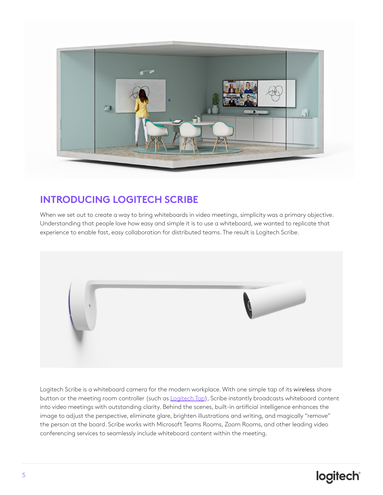

## **INTRODUCING LOGITECH SCRIBE**

When we set out to create a way to bring whiteboards in video meetings, simplicity was a primary objective. Understanding that people love how easy and simple it is to use a whiteboard, we wanted to replicate that experience to enable fast, easy collaboration for distributed teams. The result is Logitech Scribe.

![](_page_4_Picture_3.jpeg)

Logitech Scribe is a whiteboard camera for the modern workplace. With one simple tap of its wireless share button or the meeting room controller (such as **[Logitech Tap\)](https://www.logitech.com/products/video-conferencing/room-solutions/tap.html)**, Scribe instantly broadcasts whiteboard content into video meetings with outstanding clarity. Behind the scenes, built-in artificial intelligence enhances the image to adjust the perspective, eliminate glare, brighten illustrations and writing, and magically "remove" the person at the board. Scribe works with Microsoft Teams Rooms, Zoom Rooms, and other leading video conferencing services to seamlessly include whiteboard content within the meeting.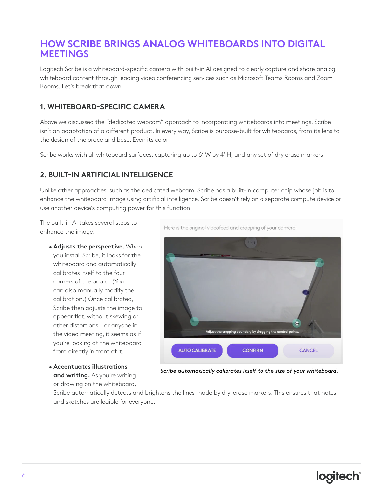### **HOW SCRIBE BRINGS ANALOG WHITEBOARDS INTO DIGITAL MEETINGS**

Logitech Scribe is a whiteboard-specific camera with built-in AI designed to clearly capture and share analog whiteboard content through leading video conferencing services such as Microsoft Teams Rooms and Zoom Rooms. Let's break that down.

#### **1. WHITEBOARD-SPECIFIC CAMERA**

Above we discussed the "dedicated webcam" approach to incorporating whiteboards into meetings. Scribe isn't an adaptation of a different product. In every way, Scribe is purpose-built for whiteboards, from its lens to the design of the brace and base. Even its color.

Scribe works with all whiteboard surfaces, capturing up to 6' W by 4' H, and any set of dry erase markers.

#### **2. BUILT-IN ARTIFICIAL INTELLIGENCE**

Unlike other approaches, such as the dedicated webcam, Scribe has a built-in computer chip whose job is to enhance the whiteboard image using artificial intelligence. Scribe doesn't rely on a separate compute device or use another device's computing power for this function.

The built-in AI takes several steps to enhance the image:

- **Adjusts the perspective.** When you install Scribe, it looks for the whiteboard and automatically calibrates itself to the four corners of the board. (You can also manually modify the calibration.) Once calibrated, Scribe then adjusts the image to appear flat, without skewing or other distortions. For anyone in the video meeting, it seems as if you're looking at the whiteboard from directly in front of it.
- **Accentuates illustrations and writing.** As you're writing or drawing on the whiteboard,

Here is the original videofeed and cropping of your camera.

![](_page_5_Picture_11.jpeg)

*Scribe automatically calibrates itself to the size of your whiteboard.*

Scribe automatically detects and brightens the lines made by dry-erase markers. This ensures that notes and sketches are legible for everyone.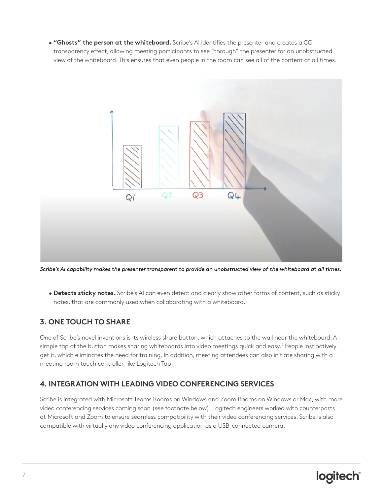• **"Ghosts" the person at the whiteboard.** Scribe's AI identifies the presenter and creates a CGI transparency effect, allowing meeting participants to see "through" the presenter for an unobstructed view of the whiteboard. This ensures that even people in the room can see all of the content at all times.

![](_page_6_Figure_1.jpeg)

*Scribe's AI capability makes the presenter transparent to provide an unobstructed view of the whiteboard at all times.*

• **Detects sticky notes.** Scribe's AI can even detect and clearly show other forms of content, such as sticky notes, that are commonly used when collaborating with a whiteboard.

#### **3. ONE TOUCH TO SHARE**

One of Scribe's novel inventions is its wireless share button, which attaches to the wall near the whiteboard. A simple tap of the button makes sharing whiteboards into video meetings quick and easy.<sup>2</sup> People instinctively get it, which eliminates the need for training. In addition, meeting attendees can also initiate sharing with a meeting room touch controller, like Logitech Tap.

#### **4. INTEGRATION WITH LEADING VIDEO CONFERENCING SERVICES**

Scribe is integrated with Microsoft Teams Rooms on Windows and Zoom Rooms on Windows or Mac, with more video conferencing services coming soon (see footnote below). Logitech engineers worked with counterparts at Microsoft and Zoom to ensure seamless compatibility with their video conferencing services. Scribe is also compatible with virtually any video conferencing application as a USB-connected camera.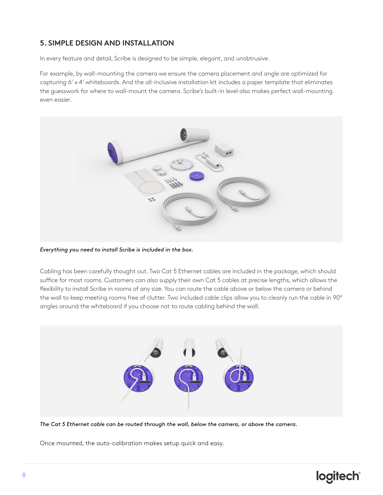#### **5. SIMPLE DESIGN AND INSTALLATION**

In every feature and detail, Scribe is designed to be simple, elegant, and unobtrusive.

For example, by wall-mounting the camera we ensure the camera placement and angle are optimized for capturing 6' x 4' whiteboards. And the all-inclusive installation kit includes a paper template that eliminates the guesswork for where to wall-mount the camera. Scribe's built-in level also makes perfect wall-mounting even easier.

![](_page_7_Picture_3.jpeg)

#### *Everything you need to install Scribe is included in the box.*

Cabling has been carefully thought out. Two Cat 5 Ethernet cables are included in the package, which should suffice for most rooms. Customers can also supply their own Cat 5 cables at precise lengths, which allows the flexibility to install Scribe in rooms of any size. You can route the cable above or below the camera or behind the wall to keep meeting rooms free of clutter. Two included cable clips allow you to cleanly run the cable in 90º angles around the whiteboard if you choose not to route cabling behind the wall.

![](_page_7_Picture_6.jpeg)

*The Cat 5 Ethernet cable can be routed through the wall, below the camera, or above the camera.*

Once mounted, the auto-calibration makes setup quick and easy.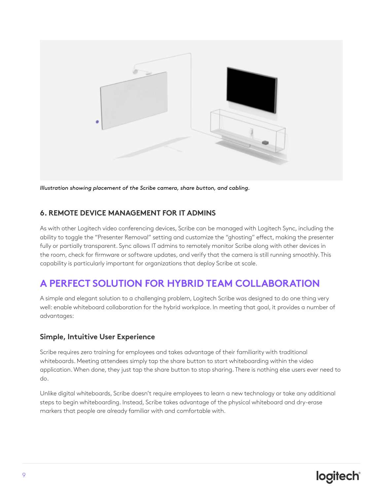![](_page_8_Picture_0.jpeg)

*Illustration showing placement of the Scribe camera, share button, and cabling.*

#### **6. REMOTE DEVICE MANAGEMENT FOR IT ADMINS**

As with other Logitech video conferencing devices, Scribe can be managed with Logitech Sync, including the ability to toggle the "Presenter Removal" setting and customize the "ghosting" effect, making the presenter fully or partially transparent. Sync allows IT admins to remotely monitor Scribe along with other devices in the room, check for firmware or software updates, and verify that the camera is still running smoothly. This capability is particularly important for organizations that deploy Scribe at scale.

### **A PERFECT SOLUTION FOR HYBRID TEAM COLLABORATION**

A simple and elegant solution to a challenging problem, Logitech Scribe was designed to do one thing very well: enable whiteboard collaboration for the hybrid workplace. In meeting that goal, it provides a number of advantages:

#### **Simple, Intuitive User Experience**

Scribe requires zero training for employees and takes advantage of their familiarity with traditional whiteboards. Meeting attendees simply tap the share button to start whiteboarding within the video application. When done, they just tap the share button to stop sharing. There is nothing else users ever need to do.

Unlike digital whiteboards, Scribe doesn't require employees to learn a new technology or take any additional steps to begin whiteboarding. Instead, Scribe takes advantage of the physical whiteboard and dry-erase markers that people are already familiar with and comfortable with.